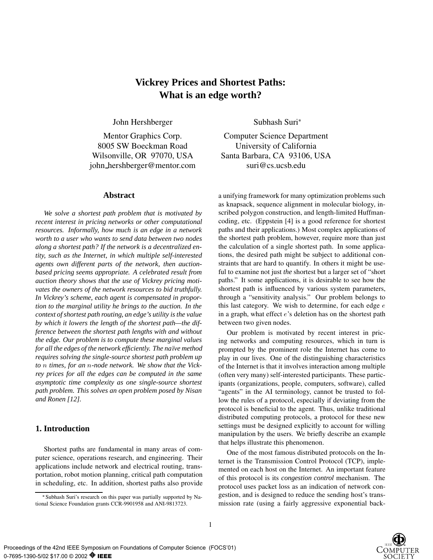# **Vickrey Prices and Shortest Paths: What is an edge worth?**

John Hershberger

Mentor Graphics Corp. 8005 SW Boeckman Road Wilsonville, OR 97070, USA john hershberger@mentor.com

## **Abstract**

*We solve a shortest path problem that is motivated by recent interest in pricing networks or other computational resources. Informally, how much is an edge in a network worth to a user who wants to send data between two nodes along a shortest path? If the network is a decentralized entity, such as the Internet, in which multiple self-interested agents own different parts of the network, then auctionbased pricing seems appropriate. A celebrated result from auction theory shows that the use of Vickrey pricing motivates the owners of the network resources to bid truthfully. In Vickrey's scheme, each agent is compensated in proportion to the marginal utility he brings to the auction. In the context of shortest path routing, an edge's utility is the value by which it lowers the length of the shortest path—the difference between the shortest path lengths with and without the edge. Our problem is to compute these marginal values for all the edges of the network efficiently. The na¨ıve method requires solving the single-source shortest path problem up to* <sup>n</sup> *times, for an* <sup>n</sup>*-node network. We show that the Vickrey prices for all the edges can be computed in the same asymptotic time complexity as one single-source shortest path problem. This solves an open problem posed by Nisan and Ronen [12].*

## **1. Introduction**

Shortest paths are fundamental in many areas of computer science, operations research, and engineering. Their applications include network and electrical routing, transportation, robot motion planning, critical path computation in scheduling, etc. In addition, shortest paths also provide Subhash Suri

Computer Science Department University of California Santa Barbara, CA 93106, USA suri@cs.ucsb.edu

a unifying framework for many optimization problems such as knapsack, sequence alignment in molecular biology, inscribed polygon construction, and length-limited Huffmancoding, etc. (Eppstein [4] is a good reference for shortest paths and their applications.) Most complex applications of the shortest path problem, however, require more than just the calculation of a single shortest path. In some applications, the desired path might be subject to additional constraints that are hard to quantify. In others it might be useful to examine not just *the* shortest but a larger set of "short paths." It some applications, it is desirable to see how the shortest path is influenced by various system parameters, through a "sensitivity analysis." Our problem belongs to this last category. We wish to determine, for each edge  $e$ in a graph, what effect <sup>e</sup>'s deletion has on the shortest path between two given nodes.

Our problem is motivated by recent interest in pricing networks and computing resources, which in turn is prompted by the prominent role the Internet has come to play in our lives. One of the distinguishing characteristics of the Internet is that it involves interaction among multiple (often very many) self-interested participants. These participants (organizations, people, computers, software), called "agents" in the AI terminology, cannot be trusted to follow the rules of a protocol, especially if deviating from the protocol is beneficial to the agent. Thus, unlike traditional distributed computing protocols, a protocol for these new settings must be designed explicitly to account for willing manipulation by the users. We briefly describe an example that helps illustrate this phenomenon.

One of the most famous distributed protocols on the Internet is the Transmission Control Protocol (TCP), implemented on each host on the Internet. An important feature of this protocol is its *congestion control* mechanism. The protocol uses packet loss as an indication of network congestion, and is designed to reduce the sending host's transmission rate (using a fairly aggressive exponential back-

Subhash Suri's research on this paper was partially supported by National Science Foundation grants CCR-9901958 and ANI-9813723.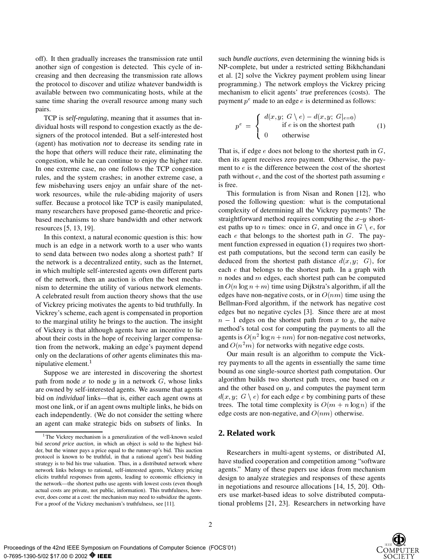off). It then gradually increases the transmission rate until another sign of congestion is detected. This cycle of increasing and then decreasing the transmission rate allows the protocol to discover and utilize whatever bandwidth is available between two communicating hosts, while at the same time sharing the overall resource among many such pairs.

TCP is *self-regulating*, meaning that it assumes that individual hosts will respond to congestion exactly as the designers of the protocol intended. But a self-interested host (agent) has motivation *not* to decrease its sending rate in the hope that *others* will reduce their rate, eliminating the congestion, while he can continue to enjoy the higher rate. In one extreme case, no one follows the TCP congestion rules, and the system crashes; in another extreme case, a few misbehaving users enjoy an unfair share of the network resources, while the rule-abiding majority of users suffer. Because a protocol like TCP is easily manipulated, many researchers have proposed game-theoretic and pricebased mechanisms to share bandwidth and other network resources [5, 13, 19].

In this context, a natural economic question is this: how much is an edge in a network worth to a user who wants to send data between two nodes along a shortest path? If the network is a decentralized entity, such as the Internet, in which multiple self-interested agents own different parts of the network, then an auction is often the best mechanism to determine the utility of various network elements. A celebrated result from auction theory shows that the use of Vickrey pricing motivates the agents to bid truthfully. In Vickrey's scheme, each agent is compensated in proportion to the marginal utility he brings to the auction. The insight of Vickrey is that although agents have an incentive to lie about their costs in the hope of receiving larger compensation from the network, making an edge's payment depend only on the declarations of *other* agents eliminates this manipulative element. $<sup>1</sup>$ </sup>

Suppose we are interested in discovering the shortest path from node  $x$  to node  $y$  in a network  $G$ , whose links are owned by self-interested agents. We assume that agents bid on *individual* links—that is, either each agent owns at most one link, or if an agent owns multiple links, he bids on each independently. (We do not consider the setting where an agent can make strategic bids on *subsets* of links. In

such *bundle auctions*, even determining the winning bids is NP-complete, but under a restricted setting Bikhchandani et al. [2] solve the Vickrey payment problem using linear programming.) The network employs the Vickrey pricing mechanism to elicit agents' *true* preferences (costs). The payment  $p^e$  made to an edge  $e$  is determined as follows:

$$
p^{e} = \begin{cases} d(x, y; G \setminus e) - d(x, y; G|_{e=0}) \\ \text{if } e \text{ is on the shortest path} \\ 0 \text{ otherwise} \end{cases}
$$
 (1)

That is, if edge  $e$  does not belong to the shortest path in  $G$ , then its agent receives zero payment. Otherwise, the payment to <sup>e</sup> is the difference between the cost of the shortest path without  $e$ , and the cost of the shortest path assuming  $e$ is free.

This formulation is from Nisan and Ronen [12], who posed the following question: what is the computational complexity of determining all the Vickrey payments? The straightforward method requires computing the  $x-y$  shortest paths up to *n* times: once in G, and once in  $G \setminus e$ , for each  $e$  that belongs to the shortest path in  $G$ . The payment function expressed in equation (1) requires two shortest path computations, but the second term can easily be deduced from the shortest path distance  $d(x, y; G)$ , for each <sup>e</sup> that belongs to the shortest path. In a graph with  $n$  nodes and  $m$  edges, each shortest path can be computed in  $O(n \log n + m)$  time using Dijkstra's algorithm, if all the edges have non-negative costs, or in  $O(nm)$  time using the Bellman-Ford algorithm, if the network has negative cost edges but no negative cycles [3]. Since there are at most  $n - 1$  edges on the shortest path from x to y, the naïve method's total cost for computing the payments to all the agents is  $O(n^2 \log n + nm)$  for non-negative cost networks, and  $O(n^2m)$  for networks with negative edge costs.

Our main result is an algorithm to compute the Vickrey payments to all the agents in essentially the same time bound as one single-source shortest path computation. Our algorithm builds two shortest path trees, one based on  $x$ and the other based on  $y$ , and computes the payment term  $d(x, y; G \setminus e)$  for each edge e by combining parts of these trees. The total time complexity is  $O(m + n \log n)$  if the edge costs are non-negative, and  $O(nm)$  otherwise.

# **2. Related work**

Researchers in multi-agent systems, or distributed AI, have studied cooperation and competition among "software agents." Many of these papers use ideas from mechanism design to analyze strategies and responses of these agents in negotiations and resource allocations [14, 15, 20]. Others use market-based ideas to solve distributed computational problems [21, 23]. Researchers in networking have

<sup>1</sup> The Vickrey mechanism is a generalization of the well-known sealed bid *second price auction*, in which an object is sold to the highest bidder, but the winner pays a price equal to the runner-up's bid. This auction protocol is known to be truthful, in that a rational agent's best bidding strategy is to bid his true valuation. Thus, in a distributed network where network links belongs to rational, self-interested agents, Vickrey pricing elicits truthful responses from agents, leading to economic efficiency in the network—the shortest paths use agents with lowest costs (even though actual costs are private, not public, information). This truthfulness, however, does come at a cost: the mechanism may need to subsidize the agents. For a proof of the Vickrey mechanism's truthfulness, see [11].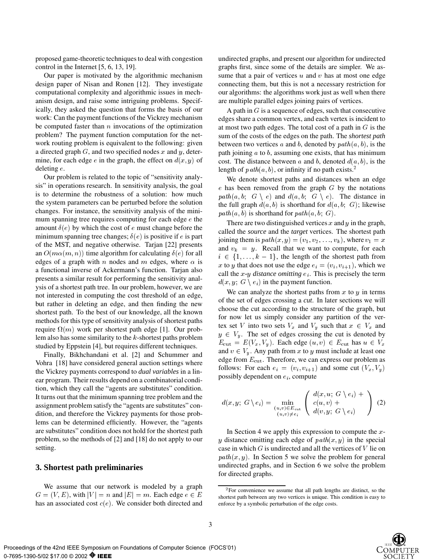proposed game-theoretic techniques to deal with congestion control in the Internet [5, 6, 13, 19].

Our paper is motivated by the algorithmic mechanism design paper of Nisan and Ronen [12]. They investigate computational complexity and algorithmic issues in mechanism design, and raise some intriguing problems. Specifically, they asked the question that forms the basis of our work: Can the payment functions of the Vickrey mechanism be computed faster than  $n$  invocations of the optimization problem? The payment function computation for the network routing problem is equivalent to the following: given a directed graph  $G$ , and two specified nodes  $x$  and  $y$ , determine, for each edge e in the graph, the effect on  $d(x, y)$  of deleting <sup>e</sup>.

Our problem is related to the topic of "sensitivity analysis" in operations research. In sensitivity analysis, the goal is to determine the robustness of a solution: how much the system parameters can be perturbed before the solution changes. For instance, the sensitivity analysis of the minimum spanning tree requires computing for each edge  $e$  the amount  $\delta(e)$  by which the cost of e must change before the minimum spanning tree changes;  $\delta(e)$  is positive if e is part of the MST, and negative otherwise. Tarjan [22] presents an  $O(m\alpha(m, n))$  time algorithm for calculating  $\delta(e)$  for all edges of a graph with n nodes and m edges, where  $\alpha$  is a functional inverse of Ackermann's function. Tarjan also presents a similar result for performing the sensitivity analysis of a shortest path tree. In our problem, however, we are not interested in computing the cost threshold of an edge, but rather in deleting an edge, and then finding the new shortest path. To the best of our knowledge, all the known methods for this type of sensitivity analysis of shortest paths require  $\Omega(m)$  work per shortest path edge [1]. Our problem also has some similarity to the  $k$ -shortest paths problem studied by Eppstein [4], but requires different techniques.

Finally, Bikhchandani et al. [2] and Schummer and Vohra [18] have considered general auction settings where the Vickrey payments correspond to *dual variables* in a linear program. Their results depend on a combinatorial condition, which they call the "agents are substitutes" condition. It turns out that the minimum spanning tree problem and the assignment problem satisfy the "agents are substitutes" condition, and therefore the Vickrey payments for those problems can be determined efficiently. However, the "agents are substitutes" condition does not hold for the shortest path problem, so the methods of [2] and [18] do not apply to our setting.

# **3. Shortest path preliminaries**

We assume that our network is modeled by a graph  $G = (V, E)$ , with  $|V| = n$  and  $|E| = m$ . Each edge  $e \in E$ has an associated cost  $c(e)$ . We consider both directed and undirected graphs, and present our algorithm for undirected graphs first, since some of the details are simpler. We assume that a pair of vertices  $u$  and  $v$  has at most one edge connecting them, but this is not a necessary restriction for our algorithms: the algorithms work just as well when there are multiple parallel edges joining pairs of vertices.

A path in  $G$  is a sequence of edges, such that consecutive edges share a common vertex, and each vertex is incident to at most two path edges. The total cost of a path in  $G$  is the sum of the costs of the edges on the path. The *shortest path* between two vertices a and b, denoted by  $path(a, b)$ , is the path joining  $a$  to  $b$ , assuming one exists, that has minimum cost. The distance between a and b, denoted  $d(a, b)$ , is the length of  $p \, a th(a, b)$ , or infinity if no path exists.<sup>2</sup>

We denote shortest paths and distances when an edge  $e$  has been removed from the graph  $G$  by the notations path  $(a, b; G \setminus e)$  and  $d(a, b; G \setminus e)$ . The distance in the full graph  $d(a, b)$  is shorthand for  $d(a, b; G)$ ; likewise  $path(a, b)$  is shorthand for  $path(a, b; G)$ .

There are two distinguished vertices  $x$  and  $y$  in the graph, called the *source* and the *target* vertices. The shortest path joining them is  $path(x, y) = (v_1, v_2, \ldots, v_k)$ , where  $v_1 = x$ and  $v_k = y$ . Recall that we want to compute, for each  $i \in \{1,\ldots,k-1\}$ , the length of the shortest path from x to y that does not use the edge  $e_i = (v_i, v_{i+1})$ , which we call the  $x$ -y *distance omitting*  $e_i$ . This is precisely the term  $d(x, y; G \setminus e_i)$  in the payment function.

We can analyze the shortest paths from  $x$  to  $y$  in terms of the set of edges crossing a *cut*. In later sections we will choose the cut according to the structure of the graph, but for now let us simply consider any partition of the vertex set V into two sets  $V_x$  and  $V_y$  such that  $x \in V_x$  and  $y \in V_y$ . The set of edges crossing the cut is denoted by  $E_{\text{cut}} = E(V_x, V_y)$ . Each edge  $(u, v) \in E_{\text{cut}}$  has  $u \in V_x$ and  $v \in V_y$ . Any path from x to y must include at least one edge from  $E_{\text{cut}}$ . Therefore, we can express our problem as follows: For each  $e_i = (v_i, v_{i+1})$  and some cut  $(V_x, V_y)$ possibly dependent on  $e_i$ , compute

$$
d(x, y; G \setminus e_i) = \min_{\substack{(u,v) \in E_{\text{cut}} \\ (u,v) \neq e_i}} \left( \begin{array}{c} d(x, u; G \setminus e_i) + \\ c(u, v) + \\ d(v, y; G \setminus e_i) \end{array} \right) (2)
$$

In Section 4 we apply this expression to compute the  $x$ y distance omitting each edge of  $path(x, y)$  in the special case in which  $G$  is undirected and all the vertices of  $V$  lie on  $path(x, y)$ . In Section 5 we solve the problem for general undirected graphs, and in Section 6 we solve the problem for directed graphs.

<sup>2</sup> For convenience we assume that all path lengths are distinct, so the shortest path between any two vertices is unique. This condition is easy to enforce by a symbolic perturbation of the edge costs.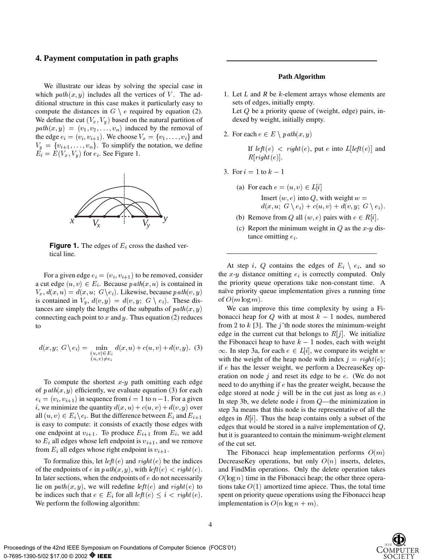# **4. Payment computation in path graphs**

We illustrate our ideas by solving the special case in which  $path(x, y)$  includes all the vertices of V. The additional structure in this case makes it particularly easy to compute the distances in  $G \setminus e$  required by equation (2). We define the cut  $(V_x, V_y)$  based on the natural partition of  $path(x, y) = (v_1, v_2, \ldots, v_n)$  induced by the removal of the edge  $e_i = (v_i, v_{i+1})$ . We choose  $V_x = \{v_1, \ldots, v_i\}$  and  $V_y = \{v_{i+1},\ldots,v_n\}$ . To simplify the notation, we define  $E_i = E(V_x, V_y)$  for  $e_i$ . See Figure 1.



**Figure 1.** The edges of  $E_i$  cross the dashed vertical line.

For a given edge  $e_i = (v_i, v_{i+1})$  to be removed, consider a cut edge  $(u, v) \in E_i$ . Because  $path(x, u)$  is contained in  $V_x, d(x, u) = d(x, u; G \e)$ . Likewise, because path $(v, y)$ is contained in  $V_y$ ,  $d(v, y) = d(v, y; G \setminus e_i)$ . These distances are simply the lengths of the subpaths of  $path(x, y)$ connecting each point to  $x$  and  $y$ . Thus equation (2) reduces to

$$
d(x, y; G \setminus e_i) = \min_{\substack{(u, v) \in E_i \\ (u, v) \neq e_i}} d(x, u) + c(u, v) + d(v, y). \tag{3}
$$

To compute the shortest  $x-y$  path omitting each edge of  $path(x, y)$  efficiently, we evaluate equation (3) for each  $e_i = (v_i, v_{i+1})$  in sequence from  $i = 1$  to  $n-1$ . For a given *i*, we minimize the quantity  $d(x, u) + c(u, v) + d(v, y)$  over all  $(u, v) \in E_i \backslash e_i$ . But the difference between  $E_i$  and  $E_{i+1}$ is easy to compute: it consists of exactly those edges with one endpoint at  $v_{i+1}$ . To produce  $E_{i+1}$  from  $E_i$ , we add to  $E_i$  all edges whose left endpoint is  $v_{i+1}$ , and we remove from  $E_i$  all edges whose right endpoint is  $v_{i+1}$ .

To formalize this, let  $left(e)$  and  $right(e)$  be the indices of the endpoints of e in  $path(x, y)$ , with  $left(e) < right(e)$ . In later sections, when the endpoints of  $e$  do not necessarily lie on  $path(x, y)$ , we will redefine left (e) and right (e) to be indices such that  $e \in E_i$  for all  $left(e) \leq i < right(e)$ . We perform the following algorithm:

#### **Path Algorithm**

- 1. Let *L* and *R* be <sup>k</sup>-element arrays whose elements are sets of edges, initially empty. Let  $Q$  be a priority queue of (weight, edge) pairs, indexed by weight, initially empty.
- 2. For each  $e \in E \setminus path(x, y)$

If  $left(e)$  < right(e), put e into  $L[left(e)]$  and  $R[right(e)].$ 

- 3. For  $i = 1$  to  $k 1$ 
	- (a) For each  $e = (u, v) \in L[i]$ Insert  $(w, e)$  into  $Q$ , with weight  $w =$  $d(x, u; G \setminus e_i) + c(u, v) + d(v, y; G \setminus e_i).$
	- (b) Remove from Q all  $(w, e)$  pairs with  $e \in R[i]$ .
	- (c) Report the minimum weight in  $Q$  as the x-y distance omitting  $e_i$ .

At step i, Q contains the edges of  $E_i \setminus e_i$ , and so the x-y distance omitting  $e_i$  is correctly computed. Only the priority queue operations take non-constant time. A naïve priority queue implementation gives a running time of  $O(m \log m)$ .

We can improve this time complexity by using a Fibonacci heap for Q with at most  $k - 1$  nodes, numbered from 2 to  $k$  [3]. The j'th node stores the minimum-weight edge in the current cut that belongs to  $R[j]$ . We initialize the Fibonacci heap to have  $k - 1$  nodes, each with weight  $\infty$ . In step 3a, for each  $e \in L[i]$ , we compare its weight w with the weight of the heap node with index  $j = right(e)$ ; if <sup>e</sup> has the lesser weight, we perform a DecreaseKey operation on node  $j$  and reset its edge to be  $e$ . (We do not need to do anything if <sup>e</sup> has the greater weight, because the edge stored at node  $j$  will be in the cut just as long as  $e$ .) In step 3b, we delete node  $i$  from  $Q$ —the minimization in step 3a means that this node is the representative of all the edges in  $R[i]$ . Thus the heap contains only a subset of the edges that would be stored in a naïve implementation of  $Q$ , but it is guaranteed to contain the minimum-weight element of the cut set.

The Fibonacci heap implementation performs  $O(m)$ DecreaseKey operations, but only  $O(n)$  inserts, deletes, and FindMin operations. Only the delete operation takes  $O(\log n)$  time in the Fibonacci heap; the other three operations take  $O(1)$  amortized time apiece. Thus, the total time spent on priority queue operations using the Fibonacci heap implementation is  $O(n \log n + m)$ .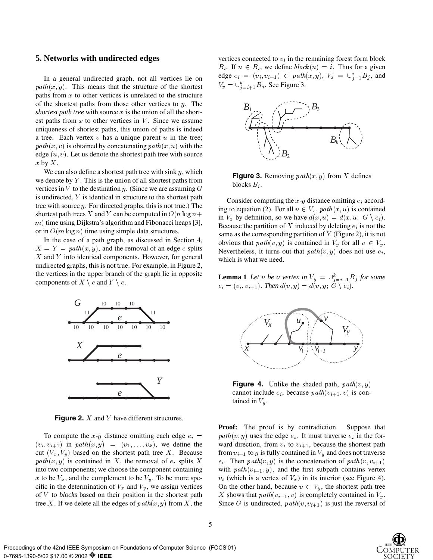# **5. Networks with undirected edges**

In a general undirected graph, not all vertices lie on  $path(x, y)$ . This means that the structure of the shortest paths from  $x$  to other vertices is unrelated to the structure of the shortest paths from those other vertices to  $y$ . The *shortest path tree* with source  $x$  is the union of all the shortest paths from  $x$  to other vertices in  $V$ . Since we assume uniqueness of shortest paths, this union of paths is indeed a tree. Each vertex  $v$  has a unique parent  $u$  in the tree;  $path(x, v)$  is obtained by concatenating  $path(x, u)$  with the edge  $(u, v)$ . Let us denote the shortest path tree with source  $x$  by  $X$ .

We can also define a shortest path tree with sink  $y$ , which we denote by  $Y$ . This is the union of all shortest paths from vertices in  $V$  to the destination y. (Since we are assuming  $G$ is undirected, <sup>Y</sup> is identical in structure to the shortest path tree with source <sup>y</sup>. For directed graphs, this is not true.) The shortest path trees X and Y can be computed in  $O(n \log n +$ m) time using Dijkstra's algorithm and Fibonacci heaps [3], or in  $O(m \log n)$  time using simple data structures.

In the case of a path graph, as discussed in Section 4,  $X = Y = path(x, y)$ , and the removal of an edge e splits  $X$  and  $Y$  into identical components. However, for general undirected graphs, this is not true. For example, in Figure 2, the vertices in the upper branch of the graph lie in opposite components of  $X \setminus e$  and  $Y \setminus e$ .



**Figure 2.** *X* and *Y* have different structures.

To compute the x-y distance omitting each edge  $e_i$  =  $(v_i, v_{i+1})$  in  $path(x, y) = (v_1, \ldots, v_k)$ , we define the cut  $(V_x, V_y)$  based on the shortest path tree X. Because  $path(x, y)$  is contained in X, the removal of  $e_i$  splits X into two components; we choose the component containing x to be  $V_x$ , and the complement to be  $V_y$ . To be more specific in the determination of  $V_x$  and  $V_y$ , we assign vertices of <sup>V</sup> to *blocks* based on their position in the shortest path tree X. If we delete all the edges of  $path(x, y)$  from X, the

vertices connected to  $v_i$  in the remaining forest form block  $B_i$ . If  $u \in B_i$ , we define  $block(u) = i$ . Thus for a given edge  $e_i = (v_i, v_{i+1}) \in path(x, y), V_x = \bigcup_{i=1}^{i} B_i$ , and  $V_y = \bigcup_{i=i+1}^k B_i$ . See Figure 3.



**Figure 3.** Removing  $path(x, y)$  from X defines blocks  $B_i$ .

Consider computing the x-y distance omitting  $e_i$  according to equation (2). For all  $u \in V_x$ , path $(x, u)$  is contained in  $V_x$  by definition, so we have  $d(x, u) = d(x, u; G \setminus e_i)$ . Because the partition of X induced by deleting  $e_i$  is not the same as the corresponding partition of  $Y$  (Figure 2), it is not obvious that  $path(v, y)$  is contained in  $V_y$  for all  $v \in V_y$ . Nevertheless, it turns out that  $path(v, y)$  does not use  $e_i$ , which is what we need.

**Lemma 1** Let v be a vertex in  $V_y = \bigcup_{j=i+1}^k B_j$  for some  $e_i = (v_i, v_{i+1})$ *. Then*  $d(v, y) = d(v, y; \tilde{G} \setminus e_i)$ *.* 



**Figure 4.** Unlike the shaded path,  $path(v, y)$ cannot include  $e_i$ , because  $path(v_{i+1}, v)$  is contained in  $V_u$ .

**Proof:** The proof is by contradiction. Suppose that  $path(v, y)$  uses the edge  $e_i$ . It must traverse  $e_i$  in the forward direction, from  $v_i$  to  $v_{i+1}$ , because the shortest path from  $v_{i+1}$  to y is fully contained in  $V_y$  and does not traverse  $e_i$ . Then  $path(v, y)$  is the concatenation of  $path(v, v_{i+1})$ with  $path(v_{i+1}, y)$ , and the first subpath contains vertex  $v_i$  (which is a vertex of  $V_x$ ) in its interior (see Figure 4). On the other hand, because  $v \in V_y$ , the shortest path tree X shows that  $path(v_{i+1}, v)$  is completely contained in  $V_y$ . Since G is undirected,  $path(v, v_{i+1})$  is just the reversal of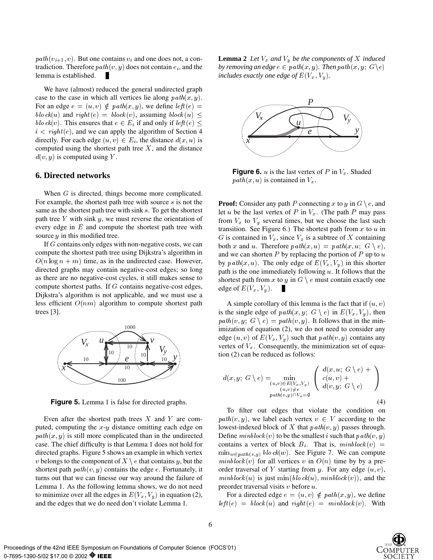$path(v_{i+1}, v)$ . But one contains  $v_i$  and one does not, a contradiction. Therefore  $path(v, y)$  does not contain  $e_i$ , and the lemma is established. H

We have (almost) reduced the general undirected graph case to the case in which all vertices lie along  $path(x, y)$ . For an edge  $e = (u, v) \notin path(x, y)$ , we define left  $(e)$  =  $block(u)$  and  $right(e) = block(v)$ , assuming  $block(u) <$ blo ck(v). This ensures that  $e \in E_i$  if and only if  $left(e)$  <  $i < right(e)$ , and we can apply the algorithm of Section 4 directly. For each edge  $(u, v) \in E_i$ , the distance  $d(x, u)$  is computed using the shortest path tree  $X$ , and the distance  $d(v, y)$  is computed using Y.

# **6. Directed networks**

When G is directed, things become more complicated. For example, the shortest path tree with source  $s$  is not the same as the shortest path tree with sink <sup>s</sup>. To get the shortest path tree  $Y$  with sink  $y$ , we must reverse the orientation of every edge in  $E$  and compute the shortest path tree with source y in this modified tree.

If <sup>G</sup> contains only edges with non-negative costs, we can compute the shortest path tree using Dijkstra's algorithm in  $O(n \log n + m)$  time, as in the undirected case. However, directed graphs may contain negative-cost edges; so long as there are no negative-cost cycles, it still makes sense to compute shortest paths. If <sup>G</sup> contains negative-cost edges, Dijkstra's algorithm is not applicable, and we must use a less efficient  $O(nm)$  algorithm to compute shortest path trees [3].



**Figure 5.** Lemma 1 is false for directed graphs.

Even after the shortest path trees  $X$  and  $Y$  are computed, computing the  $x-y$  distance omitting each edge on  $path(x, y)$  is still more complicated than in the undirected case. The chief difficulty is that Lemma 1 does not hold for directed graphs. Figure 5 shows an example in which vertex v belongs to the component of  $X \setminus e$  that contains y, but the shortest path  $path(v, y)$  contains the edge e. Fortunately, it turns out that we can finesse our way around the failure of Lemma 1. As the following lemma shows, we do not need to minimize over all the edges in  $E(V_x, V_y)$  in equation (2), and the edges that we do need don't violate Lemma 1.

**Lemma 2** Let  $V_x$  and  $V_y$  be the components of X induced *by removing an edge*  $e \in path(x, y)$ *. Then path* $(x, y; G \backslash e)$ *includes exactly one edge of*  $E(V_x, V_y)$ *.* 



**Figure 6.** *u* is the last vertex of  $P$  in  $V_x$ . Shaded  $path(x, u)$  is contained in  $V_x$ .

**Proof:** Consider any path P connecting x to y in  $G \setminus e$ , and let u be the last vertex of P in  $V_x$ . (The path P may pass from  $V_x$  to  $V_y$  several times, but we choose the last such transition. See Figure 6.) The shortest path from  $x$  to  $u$  in G is contained in  $V_x$ , since  $V_x$  is a subtree of X containing both x and u. Therefore  $path(x, u) = path(x, u; G \setminus e)$ , and we can shorten  $P$  by replacing the portion of  $P$  up to  $u$ by path $(x, u)$ . The only edge of  $E(V_x, V_y)$  in this shorter path is the one immediately following  $u$ . It follows that the shortest path from x to y in  $G \setminus e$  must contain exactly one edge of  $E(V_x, V_y)$ .

A simple corollary of this lemma is the fact that if  $(u, v)$ is the single edge of  $path(x, y; G \setminus e)$  in  $E(V_x, V_y)$ , then  $path(v, y; G \setminus e) = path(v, y)$ . It follows that in the minimization of equation (2), we do not need to consider any edge  $(u, v)$  of  $E(V_x, V_y)$  such that  $path(v, y)$  contains any vertex of  $V_x$ . Consequently, the minimization set of equation (2) can be reduced as follows:

$$
d(x, y; G \setminus e) = \min_{\substack{(u, v) \in E(V_x, V_y) \\ (u, v) \neq e \\ path(v, y) \cap V_x = \emptyset}} \left( \begin{array}{l} d(x, u; G \setminus e) + \\ c(u, v) + \\ d(v, y; G \setminus e) \end{array} \right)
$$
\n
$$
(4)
$$

To filter out edges that violate the condition on  $path(v, y)$ , we label each vertex  $v \in V$  according to the lowest-indexed block of X that  $path(v, y)$  passes through. Define  $minblock(v)$  to be the smallest i such that  $path(v, y)$ contains a vertex of block  $B_i$ . That is,  $minblock(v)$  =  $\min_{w \in path(v,y)} \text{blo } ck(w)$ . See Figure 7. We can compute  $minblock(v)$  for all vertices v in  $O(n)$  time by by a preorder traversal of Y starting from y. For any edge  $(u, v)$ ,  $minblock(u)$  is just  $min(block(u), minblock(v)),$  and the preorder traversal visits  $v$  before  $u$ .

For a directed edge  $e = (u, v) \notin path(x, y)$ , we define  $left(e) = block(u)$  and  $right(e) = minblock(v)$ . With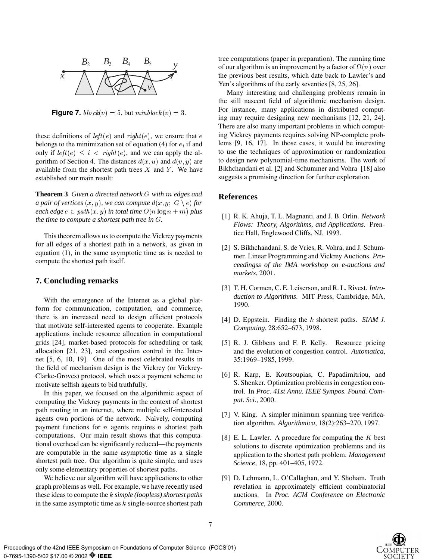

**Figure 7.**  $\text{block}(v)=5$ , but  $\text{minblock}(v)=3$ .

these definitions of  $left(e\right)$  and  $right(e)$ , we ensure that e belongs to the minimization set of equation (4) for  $e_i$  if and only if  $left(e) \le i \le right(e)$ , and we can apply the algorithm of Section 4. The distances  $d(x, u)$  and  $d(v, y)$  are available from the shortest path trees  $X$  and  $Y$ . We have established our main result:

**Theorem 3** *Given a directed network* <sup>G</sup> *with* <sup>m</sup> *edges and a pair of vertices*  $(x, y)$ *, we can compute*  $d(x, y; G \setminus e)$  *for each edge*  $e \in path(x, y)$  *in total time*  $O(n \log n + m)$  *plus the time to compute a shortest path tree in* <sup>G</sup>*.*

This theorem allows us to compute the Vickrey payments for all edges of a shortest path in a network, as given in equation (1), in the same asymptotic time as is needed to compute the shortest path itself.

## **7. Concluding remarks**

With the emergence of the Internet as a global platform for communication, computation, and commerce, there is an increased need to design efficient protocols that motivate self-interested agents to cooperate. Example applications include resource allocation in computational grids [24], market-based protocols for scheduling or task allocation [21, 23], and congestion control in the Internet [5, 6, 10, 19]. One of the most celebrated results in the field of mechanism design is the Vickrey (or Vickrey-Clarke-Groves) protocol, which uses a payment scheme to motivate selfish agents to bid truthfully.

In this paper, we focused on the algorithmic aspect of computing the Vickrey payments in the context of shortest path routing in an internet, where multiple self-interested agents own portions of the network. Naïvely, computing payment functions for  $n$  agents requires  $n$  shortest path computations. Our main result shows that this computational overhead can be significantly reduced—the payments are computable in the same asymptotic time as a single shortest path tree. Our algorithm is quite simple, and uses only some elementary properties of shortest paths.

We believe our algorithm will have applications to other graph problems as well. For example, we have recently used these ideas to compute the <sup>k</sup> *simple (loopless) shortest paths* in the same asymptotic time as  $k$  single-source shortest path

tree computations (paper in preparation). The running time of our algorithm is an improvement by a factor of  $\Omega(n)$  over the previous best results, which date back to Lawler's and Yen's algorithms of the early seventies [8, 25, 26].

Many interesting and challenging problems remain in the still nascent field of algorithmic mechanism design. For instance, many applications in distributed computing may require designing new mechanisms [12, 21, 24]. There are also many important problems in which computing Vickrey payments requires solving NP-complete problems [9, 16, 17]. In those cases, it would be interesting to use the techniques of approximation or randomization to design new polynomial-time mechanisms. The work of Bikhchandani et al. [2] and Schummer and Vohra [18] also suggests a promising direction for further exploration.

# **References**

- [1] R. K. Ahuja, T. L. Magnanti, and J. B. Orlin. *Network Flows: Theory, Algorithms, and Applications*. Prentice Hall, Englewood Cliffs, NJ, 1993.
- [2] S. Bikhchandani, S. de Vries, R. Vohra, and J. Schummer. Linear Programming and Vickrey Auctions. *Proceedingss of the IMA workshop on e-auctions and markets*, 2001.
- [3] T. H. Cormen, C. E. Leiserson, and R. L. Rivest. *Introduction to Algorithms*. MIT Press, Cambridge, MA, 1990.
- [4] D. Eppstein. Finding the <sup>k</sup> shortest paths. *SIAM J. Computing*, 28:652–673, 1998.
- [5] R. J. Gibbens and F. P. Kelly. Resource pricing and the evolution of congestion control. *Automatica*, 35:1969–1985, 1999.
- [6] R. Karp, E. Koutsoupias, C. Papadimitriou, and S. Shenker. Optimization problems in congestion control. In *Proc. 41st Annu. IEEE Sympos. Found. Comput. Sci.*, 2000.
- [7] V. King. A simpler minimum spanning tree verification algorithm. *Algorithmica*, 18(2):263–270, 1997.
- [8] E. L. Lawler. A procedure for computing the  $K$  best solutions to discrete optimization problemns and its application to the shortest path problem. *Management Science*, 18, pp. 401–405, 1972.
- [9] D. Lehmann, L. O'Callaghan, and Y. Shoham. Truth revelation in approximately efficient combinatorial auctions. In *Proc. ACM Conference on Electronic Commerce*, 2000.